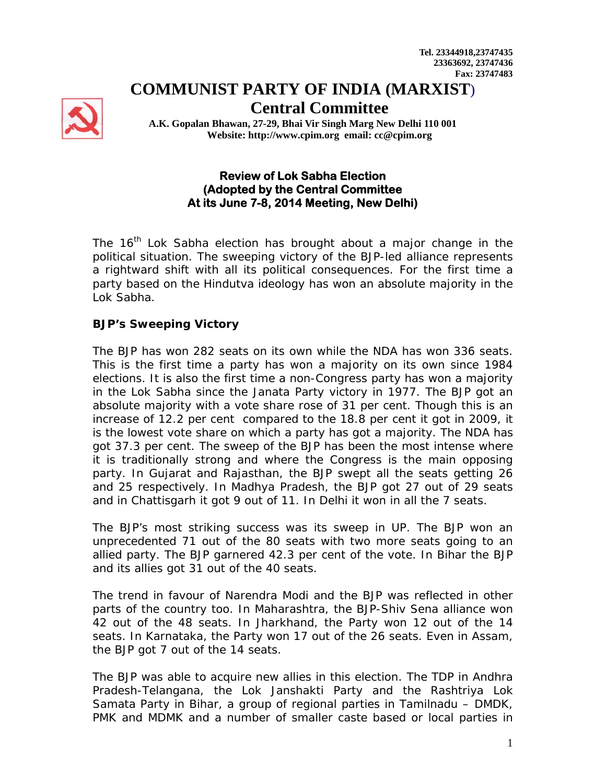**Tel. 23344918,23747435 23363692, 23747436 Fax: 23747483** 

**COMMUNIST PARTY OF INDIA (MARXIST**) **Central Committee** 

**A.K. Gopalan Bhawan, 27-29, Bhai Vir Singh Marg New Delhi 110 001 Website: http://www.cpim.org email: cc@cpim.org** 

# **Review of Lok Sabha Election (Adopted by the Central Committee At its June 7-8, 2014 Meeting, New Delhi)**

The  $16<sup>th</sup>$  Lok Sabha election has brought about a major change in the political situation. The sweeping victory of the BJP-led alliance represents a rightward shift with all its political consequences. For the first time a party based on the Hindutva ideology has won an absolute majority in the Lok Sabha.

# **BJP's Sweeping Victory**

The BJP has won 282 seats on its own while the NDA has won 336 seats. This is the first time a party has won a majority on its own since 1984 elections. It is also the first time a non-Congress party has won a majority in the Lok Sabha since the Janata Party victory in 1977. The BJP got an absolute majority with a vote share rose of 31 per cent. Though this is an increase of 12.2 per cent compared to the 18.8 per cent it got in 2009, it is the lowest vote share on which a party has got a majority. The NDA has got 37.3 per cent. The sweep of the BJP has been the most intense where it is traditionally strong and where the Congress is the main opposing party. In Gujarat and Rajasthan, the BJP swept all the seats getting 26 and 25 respectively. In Madhya Pradesh, the BJP got 27 out of 29 seats and in Chattisgarh it got 9 out of 11. In Delhi it won in all the 7 seats.

The BJP's most striking success was its sweep in UP. The BJP won an unprecedented 71 out of the 80 seats with two more seats going to an allied party. The BJP garnered 42.3 per cent of the vote. In Bihar the BJP and its allies got 31 out of the 40 seats.

The trend in favour of Narendra Modi and the BJP was reflected in other parts of the country too. In Maharashtra, the BJP-Shiv Sena alliance won 42 out of the 48 seats. In Jharkhand, the Party won 12 out of the 14 seats. In Karnataka, the Party won 17 out of the 26 seats. Even in Assam, the BJP got 7 out of the 14 seats.

The BJP was able to acquire new allies in this election. The TDP in Andhra Pradesh-Telangana, the Lok Janshakti Party and the Rashtriya Lok Samata Party in Bihar, a group of regional parties in Tamilnadu – DMDK, PMK and MDMK and a number of smaller caste based or local parties in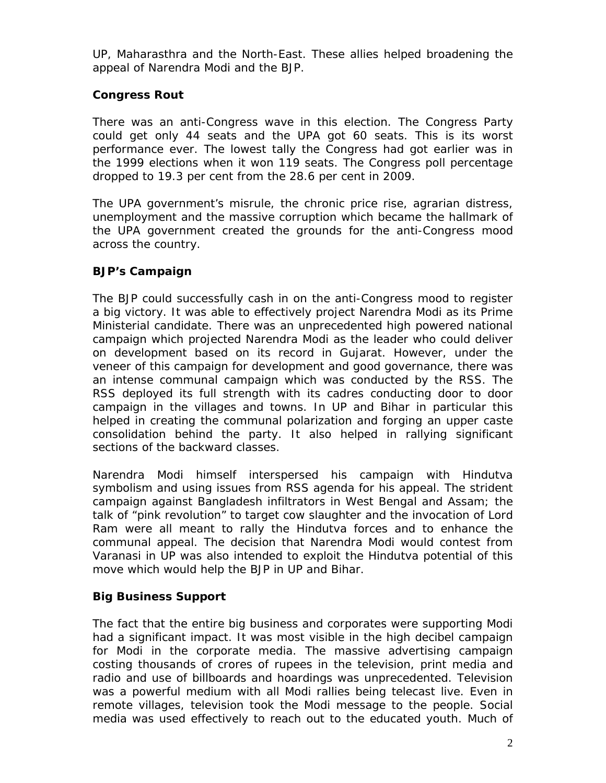UP, Maharasthra and the North-East. These allies helped broadening the appeal of Narendra Modi and the BJP.

# **Congress Rout**

There was an anti-Congress wave in this election. The Congress Party could get only 44 seats and the UPA got 60 seats. This is its worst performance ever. The lowest tally the Congress had got earlier was in the 1999 elections when it won 119 seats. The Congress poll percentage dropped to 19.3 per cent from the 28.6 per cent in 2009.

The UPA government's misrule, the chronic price rise, agrarian distress, unemployment and the massive corruption which became the hallmark of the UPA government created the grounds for the anti-Congress mood across the country.

# **BJP's Campaign**

The BJP could successfully cash in on the anti-Congress mood to register a big victory. It was able to effectively project Narendra Modi as its Prime Ministerial candidate. There was an unprecedented high powered national campaign which projected Narendra Modi as the leader who could deliver on development based on its record in Gujarat. However, under the veneer of this campaign for development and good governance, there was an intense communal campaign which was conducted by the RSS. The RSS deployed its full strength with its cadres conducting door to door campaign in the villages and towns. In UP and Bihar in particular this helped in creating the communal polarization and forging an upper caste consolidation behind the party. It also helped in rallying significant sections of the backward classes.

Narendra Modi himself interspersed his campaign with Hindutva symbolism and using issues from RSS agenda for his appeal. The strident campaign against Bangladesh infiltrators in West Bengal and Assam; the talk of "pink revolution" to target cow slaughter and the invocation of Lord Ram were all meant to rally the Hindutva forces and to enhance the communal appeal. The decision that Narendra Modi would contest from Varanasi in UP was also intended to exploit the Hindutva potential of this move which would help the BJP in UP and Bihar.

# **Big Business Support**

The fact that the entire big business and corporates were supporting Modi had a significant impact. It was most visible in the high decibel campaign for Modi in the corporate media. The massive advertising campaign costing thousands of crores of rupees in the television, print media and radio and use of billboards and hoardings was unprecedented. Television was a powerful medium with all Modi rallies being telecast live. Even in remote villages, television took the Modi message to the people. Social media was used effectively to reach out to the educated youth. Much of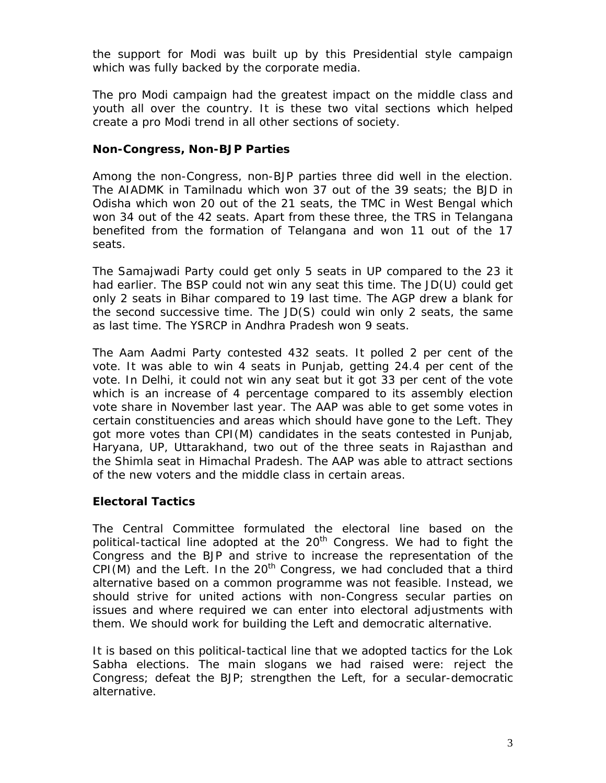the support for Modi was built up by this Presidential style campaign which was fully backed by the corporate media.

The pro Modi campaign had the greatest impact on the middle class and youth all over the country. It is these two vital sections which helped create a pro Modi trend in all other sections of society.

# **Non-Congress, Non-BJP Parties**

Among the non-Congress, non-BJP parties three did well in the election. The AIADMK in Tamilnadu which won 37 out of the 39 seats; the BJD in Odisha which won 20 out of the 21 seats, the TMC in West Bengal which won 34 out of the 42 seats. Apart from these three, the TRS in Telangana benefited from the formation of Telangana and won 11 out of the 17 seats.

The Samajwadi Party could get only 5 seats in UP compared to the 23 it had earlier. The BSP could not win any seat this time. The JD(U) could get only 2 seats in Bihar compared to 19 last time. The AGP drew a blank for the second successive time. The JD(S) could win only 2 seats, the same as last time. The YSRCP in Andhra Pradesh won 9 seats.

The Aam Aadmi Party contested 432 seats. It polled 2 per cent of the vote. It was able to win 4 seats in Punjab, getting 24.4 per cent of the vote. In Delhi, it could not win any seat but it got 33 per cent of the vote which is an increase of 4 percentage compared to its assembly election vote share in November last year. The AAP was able to get some votes in certain constituencies and areas which should have gone to the Left. They got more votes than CPI(M) candidates in the seats contested in Punjab, Haryana, UP, Uttarakhand, two out of the three seats in Rajasthan and the Shimla seat in Himachal Pradesh. The AAP was able to attract sections of the new voters and the middle class in certain areas.

# **Electoral Tactics**

The Central Committee formulated the electoral line based on the political-tactical line adopted at the 20<sup>th</sup> Congress. We had to fight the Congress and the BJP and strive to increase the representation of the CPI(M) and the Left. In the  $20<sup>th</sup>$  Congress, we had concluded that a third alternative based on a common programme was not feasible. Instead, we should strive for united actions with non-Congress secular parties on issues and where required we can enter into electoral adjustments with them. We should work for building the Left and democratic alternative.

It is based on this political-tactical line that we adopted tactics for the Lok Sabha elections. The main slogans we had raised were: reject the Congress; defeat the BJP; strengthen the Left, for a secular-democratic alternative.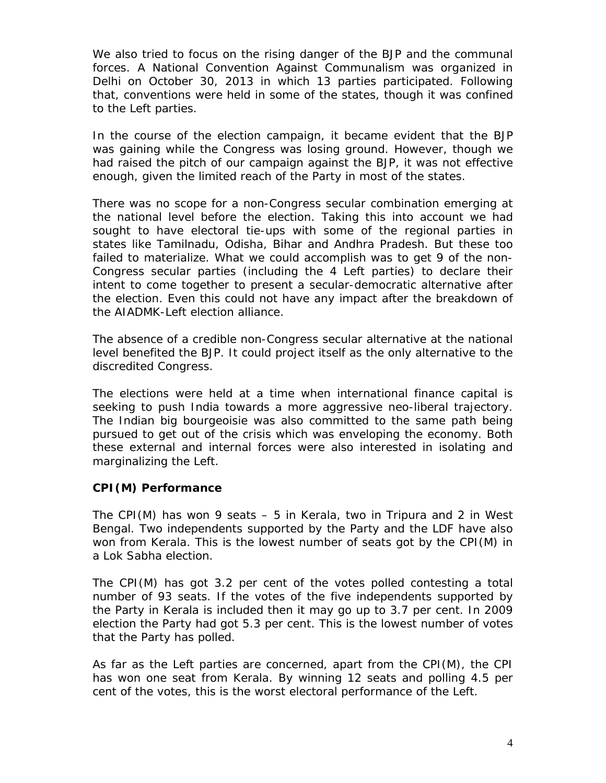We also tried to focus on the rising danger of the BJP and the communal forces. A National Convention Against Communalism was organized in Delhi on October 30, 2013 in which 13 parties participated. Following that, conventions were held in some of the states, though it was confined to the Left parties.

In the course of the election campaign, it became evident that the BJP was gaining while the Congress was losing ground. However, though we had raised the pitch of our campaign against the BJP, it was not effective enough, given the limited reach of the Party in most of the states.

There was no scope for a non-Congress secular combination emerging at the national level before the election. Taking this into account we had sought to have electoral tie-ups with some of the regional parties in states like Tamilnadu, Odisha, Bihar and Andhra Pradesh. But these too failed to materialize. What we could accomplish was to get 9 of the non-Congress secular parties (including the 4 Left parties) to declare their intent to come together to present a secular-democratic alternative after the election. Even this could not have any impact after the breakdown of the AIADMK-Left election alliance.

The absence of a credible non-Congress secular alternative at the national level benefited the BJP. It could project itself as the only alternative to the discredited Congress.

The elections were held at a time when international finance capital is seeking to push India towards a more aggressive neo-liberal trajectory. The Indian big bourgeoisie was also committed to the same path being pursued to get out of the crisis which was enveloping the economy. Both these external and internal forces were also interested in isolating and marginalizing the Left.

# **CPI(M) Performance**

The CPI(M) has won 9 seats – 5 in Kerala, two in Tripura and 2 in West Bengal. Two independents supported by the Party and the LDF have also won from Kerala. This is the lowest number of seats got by the CPI(M) in a Lok Sabha election.

The CPI(M) has got 3.2 per cent of the votes polled contesting a total number of 93 seats. If the votes of the five independents supported by the Party in Kerala is included then it may go up to 3.7 per cent. In 2009 election the Party had got 5.3 per cent. This is the lowest number of votes that the Party has polled.

As far as the Left parties are concerned, apart from the CPI(M), the CPI has won one seat from Kerala. By winning 12 seats and polling 4.5 per cent of the votes, this is the worst electoral performance of the Left.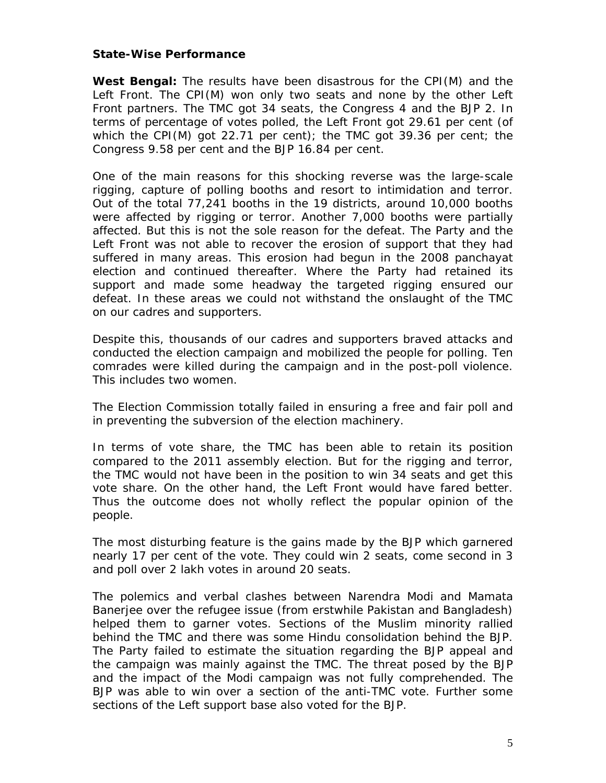#### **State-Wise Performance**

**West Bengal:** The results have been disastrous for the CPI(M) and the Left Front. The CPI(M) won only two seats and none by the other Left Front partners. The TMC got 34 seats, the Congress 4 and the BJP 2. In terms of percentage of votes polled, the Left Front got 29.61 per cent (of which the CPI(M) got 22.71 per cent); the TMC got 39.36 per cent; the Congress 9.58 per cent and the BJP 16.84 per cent.

One of the main reasons for this shocking reverse was the large-scale rigging, capture of polling booths and resort to intimidation and terror. Out of the total 77,241 booths in the 19 districts, around 10,000 booths were affected by rigging or terror. Another 7,000 booths were partially affected. But this is not the sole reason for the defeat. The Party and the Left Front was not able to recover the erosion of support that they had suffered in many areas. This erosion had begun in the 2008 panchayat election and continued thereafter. Where the Party had retained its support and made some headway the targeted rigging ensured our defeat. In these areas we could not withstand the onslaught of the TMC on our cadres and supporters.

Despite this, thousands of our cadres and supporters braved attacks and conducted the election campaign and mobilized the people for polling. Ten comrades were killed during the campaign and in the post-poll violence. This includes two women.

The Election Commission totally failed in ensuring a free and fair poll and in preventing the subversion of the election machinery.

In terms of vote share, the TMC has been able to retain its position compared to the 2011 assembly election. But for the rigging and terror, the TMC would not have been in the position to win 34 seats and get this vote share. On the other hand, the Left Front would have fared better. Thus the outcome does not wholly reflect the popular opinion of the people.

The most disturbing feature is the gains made by the BJP which garnered nearly 17 per cent of the vote. They could win 2 seats, come second in 3 and poll over 2 lakh votes in around 20 seats.

The polemics and verbal clashes between Narendra Modi and Mamata Banerjee over the refugee issue (from erstwhile Pakistan and Bangladesh) helped them to garner votes. Sections of the Muslim minority rallied behind the TMC and there was some Hindu consolidation behind the BJP. The Party failed to estimate the situation regarding the BJP appeal and the campaign was mainly against the TMC. The threat posed by the BJP and the impact of the Modi campaign was not fully comprehended. The BJP was able to win over a section of the anti-TMC vote. Further some sections of the Left support base also voted for the BJP.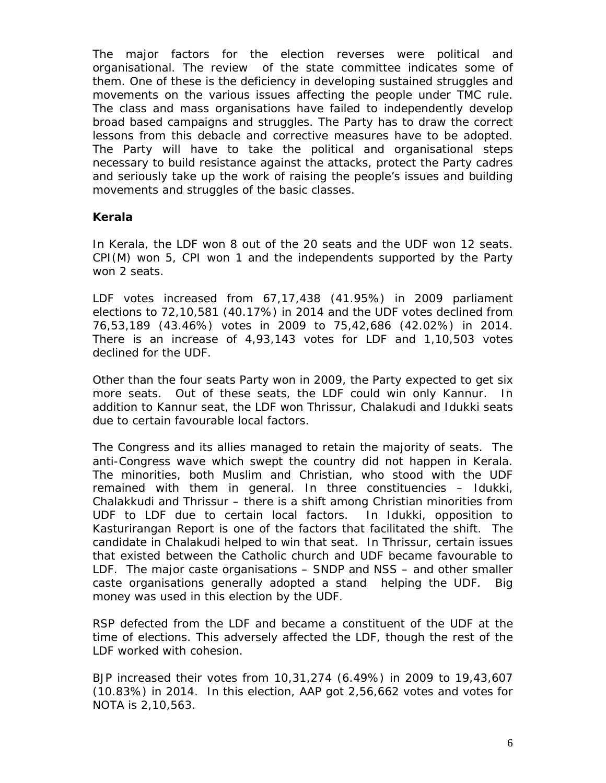The major factors for the election reverses were political and organisational. The review of the state committee indicates some of them. One of these is the deficiency in developing sustained struggles and movements on the various issues affecting the people under TMC rule. The class and mass organisations have failed to independently develop broad based campaigns and struggles. The Party has to draw the correct lessons from this debacle and corrective measures have to be adopted. The Party will have to take the political and organisational steps necessary to build resistance against the attacks, protect the Party cadres and seriously take up the work of raising the people's issues and building movements and struggles of the basic classes.

### **Kerala**

In Kerala, the LDF won 8 out of the 20 seats and the UDF won 12 seats. CPI(M) won 5, CPI won 1 and the independents supported by the Party won 2 seats.

LDF votes increased from 67,17,438 (41.95%) in 2009 parliament elections to 72,10,581 (40.17%) in 2014 and the UDF votes declined from 76,53,189 (43.46%) votes in 2009 to 75,42,686 (42.02%) in 2014. There is an increase of 4,93,143 votes for LDF and 1,10,503 votes declined for the UDF.

Other than the four seats Party won in 2009, the Party expected to get six more seats. Out of these seats, the LDF could win only Kannur. In addition to Kannur seat, the LDF won Thrissur, Chalakudi and Idukki seats due to certain favourable local factors.

The Congress and its allies managed to retain the majority of seats. The anti-Congress wave which swept the country did not happen in Kerala. The minorities, both Muslim and Christian, who stood with the UDF remained with them in general. In three constituencies – Idukki, Chalakkudi and Thrissur – there is a shift among Christian minorities from UDF to LDF due to certain local factors. In Idukki, opposition to Kasturirangan Report is one of the factors that facilitated the shift. The candidate in Chalakudi helped to win that seat. In Thrissur, certain issues that existed between the Catholic church and UDF became favourable to LDF. The major caste organisations – SNDP and NSS – and other smaller caste organisations generally adopted a stand helping the UDF. Big money was used in this election by the UDF.

RSP defected from the LDF and became a constituent of the UDF at the time of elections. This adversely affected the LDF, though the rest of the LDF worked with cohesion.

BJP increased their votes from 10,31,274 (6.49%) in 2009 to 19,43,607 (10.83%) in 2014. In this election, AAP got 2,56,662 votes and votes for NOTA is 2,10,563.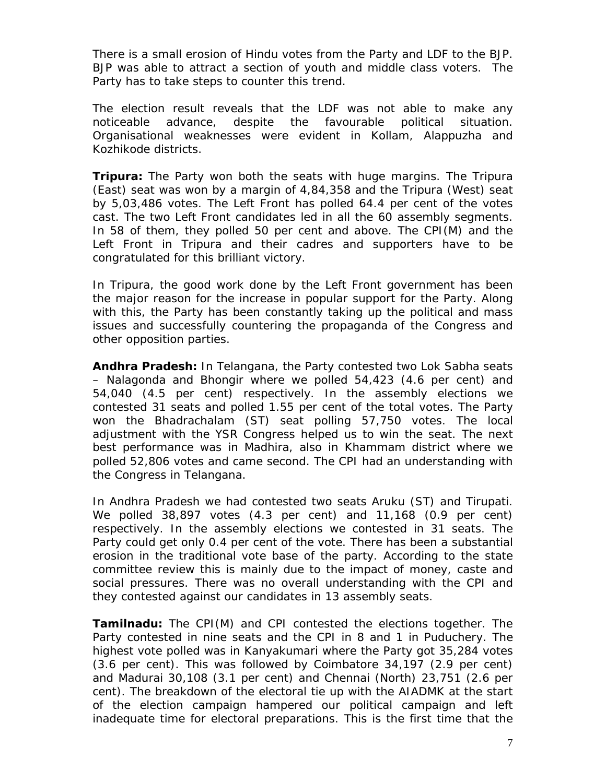There is a small erosion of Hindu votes from the Party and LDF to the BJP. BJP was able to attract a section of youth and middle class voters. The Party has to take steps to counter this trend.

The election result reveals that the LDF was not able to make any noticeable advance, despite the favourable political situation. Organisational weaknesses were evident in Kollam, Alappuzha and Kozhikode districts.

**Tripura:** The Party won both the seats with huge margins. The Tripura (East) seat was won by a margin of 4,84,358 and the Tripura (West) seat by 5,03,486 votes. The Left Front has polled 64.4 per cent of the votes cast. The two Left Front candidates led in all the 60 assembly segments. In 58 of them, they polled 50 per cent and above. The CPI(M) and the Left Front in Tripura and their cadres and supporters have to be congratulated for this brilliant victory.

In Tripura, the good work done by the Left Front government has been the major reason for the increase in popular support for the Party. Along with this, the Party has been constantly taking up the political and mass issues and successfully countering the propaganda of the Congress and other opposition parties.

**Andhra Pradesh:** In Telangana, the Party contested two Lok Sabha seats – Nalagonda and Bhongir where we polled 54,423 (4.6 per cent) and 54,040 (4.5 per cent) respectively. In the assembly elections we contested 31 seats and polled 1.55 per cent of the total votes. The Party won the Bhadrachalam (ST) seat polling 57,750 votes. The local adjustment with the YSR Congress helped us to win the seat. The next best performance was in Madhira, also in Khammam district where we polled 52,806 votes and came second. The CPI had an understanding with the Congress in Telangana.

In Andhra Pradesh we had contested two seats Aruku (ST) and Tirupati. We polled 38,897 votes (4.3 per cent) and 11,168 (0.9 per cent) respectively. In the assembly elections we contested in 31 seats. The Party could get only 0.4 per cent of the vote. There has been a substantial erosion in the traditional vote base of the party. According to the state committee review this is mainly due to the impact of money, caste and social pressures. There was no overall understanding with the CPI and they contested against our candidates in 13 assembly seats.

**Tamilnadu:** The CPI(M) and CPI contested the elections together. The Party contested in nine seats and the CPI in 8 and 1 in Puduchery. The highest vote polled was in Kanyakumari where the Party got 35,284 votes (3.6 per cent). This was followed by Coimbatore 34,197 (2.9 per cent) and Madurai 30,108 (3.1 per cent) and Chennai (North) 23,751 (2.6 per cent). The breakdown of the electoral tie up with the AIADMK at the start of the election campaign hampered our political campaign and left inadequate time for electoral preparations. This is the first time that the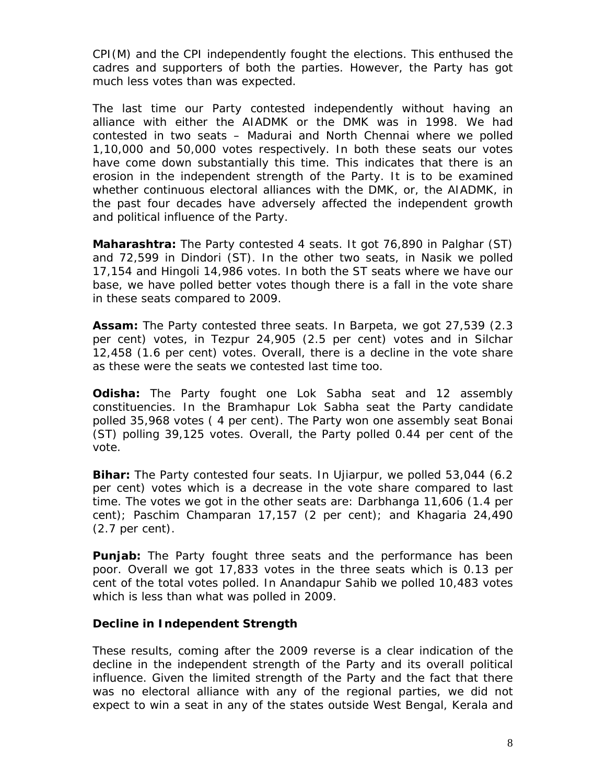CPI(M) and the CPI independently fought the elections. This enthused the cadres and supporters of both the parties. However, the Party has got much less votes than was expected.

The last time our Party contested independently without having an alliance with either the AIADMK or the DMK was in 1998. We had contested in two seats – Madurai and North Chennai where we polled 1,10,000 and 50,000 votes respectively. In both these seats our votes have come down substantially this time. This indicates that there is an erosion in the independent strength of the Party. It is to be examined whether continuous electoral alliances with the DMK, or, the AIADMK, in the past four decades have adversely affected the independent growth and political influence of the Party.

**Maharashtra:** The Party contested 4 seats. It got 76,890 in Palghar (ST) and 72,599 in Dindori (ST). In the other two seats, in Nasik we polled 17,154 and Hingoli 14,986 votes. In both the ST seats where we have our base, we have polled better votes though there is a fall in the vote share in these seats compared to 2009.

**Assam:** The Party contested three seats. In Barpeta, we got 27,539 (2.3 per cent) votes, in Tezpur 24,905 (2.5 per cent) votes and in Silchar 12,458 (1.6 per cent) votes. Overall, there is a decline in the vote share as these were the seats we contested last time too.

**Odisha:** The Party fought one Lok Sabha seat and 12 assembly constituencies. In the Bramhapur Lok Sabha seat the Party candidate polled 35,968 votes ( 4 per cent). The Party won one assembly seat Bonai (ST) polling 39,125 votes. Overall, the Party polled 0.44 per cent of the vote.

**Bihar:** The Party contested four seats. In Ujiarpur, we polled 53,044 (6.2 per cent) votes which is a decrease in the vote share compared to last time. The votes we got in the other seats are: Darbhanga 11,606 (1.4 per cent); Paschim Champaran 17,157 (2 per cent); and Khagaria 24,490 (2.7 per cent).

**Punjab:** The Party fought three seats and the performance has been poor. Overall we got 17,833 votes in the three seats which is 0.13 per cent of the total votes polled. In Anandapur Sahib we polled 10,483 votes which is less than what was polled in 2009.

### **Decline in Independent Strength**

These results, coming after the 2009 reverse is a clear indication of the decline in the independent strength of the Party and its overall political influence. Given the limited strength of the Party and the fact that there was no electoral alliance with any of the regional parties, we did not expect to win a seat in any of the states outside West Bengal, Kerala and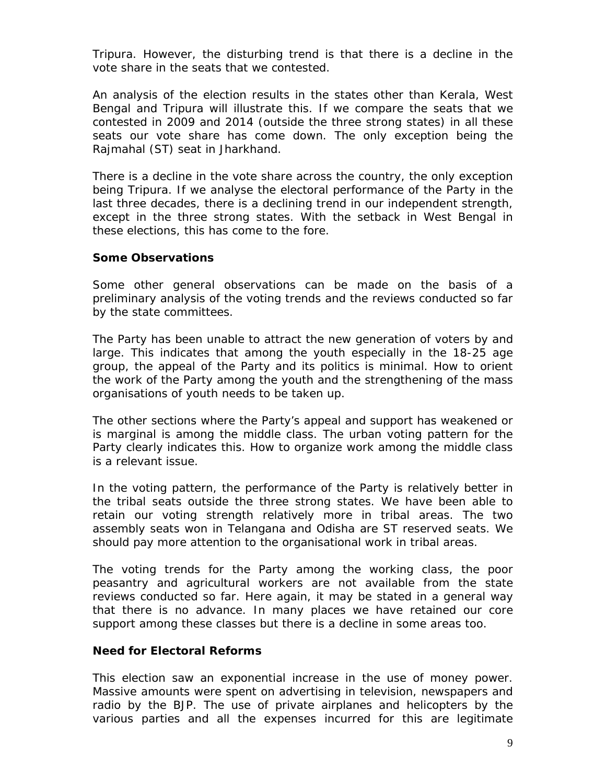Tripura. However, the disturbing trend is that there is a decline in the vote share in the seats that we contested.

An analysis of the election results in the states other than Kerala, West Bengal and Tripura will illustrate this. If we compare the seats that we contested in 2009 and 2014 (outside the three strong states) in all these seats our vote share has come down. The only exception being the Rajmahal (ST) seat in Jharkhand.

There is a decline in the vote share across the country, the only exception being Tripura. If we analyse the electoral performance of the Party in the last three decades, there is a declining trend in our independent strength, except in the three strong states. With the setback in West Bengal in these elections, this has come to the fore.

## **Some Observations**

Some other general observations can be made on the basis of a preliminary analysis of the voting trends and the reviews conducted so far by the state committees.

The Party has been unable to attract the new generation of voters by and large. This indicates that among the youth especially in the 18-25 age group, the appeal of the Party and its politics is minimal. How to orient the work of the Party among the youth and the strengthening of the mass organisations of youth needs to be taken up.

The other sections where the Party's appeal and support has weakened or is marginal is among the middle class. The urban voting pattern for the Party clearly indicates this. How to organize work among the middle class is a relevant issue.

In the voting pattern, the performance of the Party is relatively better in the tribal seats outside the three strong states. We have been able to retain our voting strength relatively more in tribal areas. The two assembly seats won in Telangana and Odisha are ST reserved seats. We should pay more attention to the organisational work in tribal areas.

The voting trends for the Party among the working class, the poor peasantry and agricultural workers are not available from the state reviews conducted so far. Here again, it may be stated in a general way that there is no advance. In many places we have retained our core support among these classes but there is a decline in some areas too.

### **Need for Electoral Reforms**

This election saw an exponential increase in the use of money power. Massive amounts were spent on advertising in television, newspapers and radio by the BJP. The use of private airplanes and helicopters by the various parties and all the expenses incurred for this are legitimate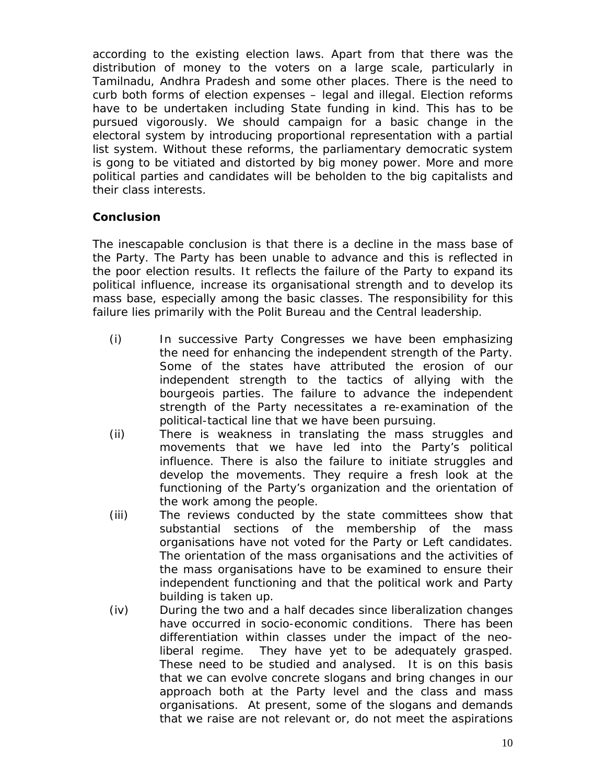according to the existing election laws. Apart from that there was the distribution of money to the voters on a large scale, particularly in Tamilnadu, Andhra Pradesh and some other places. There is the need to curb both forms of election expenses – legal and illegal. Election reforms have to be undertaken including State funding in kind. This has to be pursued vigorously. We should campaign for a basic change in the electoral system by introducing proportional representation with a partial list system. Without these reforms, the parliamentary democratic system is gong to be vitiated and distorted by big money power. More and more political parties and candidates will be beholden to the big capitalists and their class interests.

## **Conclusion**

The inescapable conclusion is that there is a decline in the mass base of the Party. The Party has been unable to advance and this is reflected in the poor election results. It reflects the failure of the Party to expand its political influence, increase its organisational strength and to develop its mass base, especially among the basic classes. The responsibility for this failure lies primarily with the Polit Bureau and the Central leadership.

- (i) In successive Party Congresses we have been emphasizing the need for enhancing the independent strength of the Party. Some of the states have attributed the erosion of our independent strength to the tactics of allying with the bourgeois parties. The failure to advance the independent strength of the Party necessitates a re-examination of the political-tactical line that we have been pursuing.
- (ii) There is weakness in translating the mass struggles and movements that we have led into the Party's political influence. There is also the failure to initiate struggles and develop the movements. They require a fresh look at the functioning of the Party's organization and the orientation of the work among the people.
- (iii) The reviews conducted by the state committees show that substantial sections of the membership of the mass organisations have not voted for the Party or Left candidates. The orientation of the mass organisations and the activities of the mass organisations have to be examined to ensure their independent functioning and that the political work and Party building is taken up.
- (iv) During the two and a half decades since liberalization changes have occurred in socio-economic conditions. There has been differentiation within classes under the impact of the neoliberal regime. They have yet to be adequately grasped. These need to be studied and analysed. It is on this basis that we can evolve concrete slogans and bring changes in our approach both at the Party level and the class and mass organisations. At present, some of the slogans and demands that we raise are not relevant or, do not meet the aspirations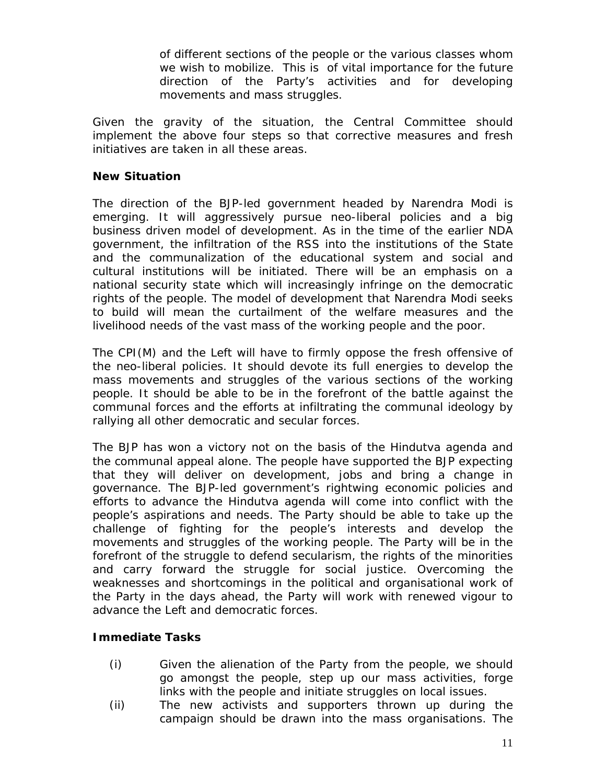of different sections of the people or the various classes whom we wish to mobilize. This is of vital importance for the future direction of the Party's activities and for developing movements and mass struggles.

Given the gravity of the situation, the Central Committee should implement the above four steps so that corrective measures and fresh initiatives are taken in all these areas.

## **New Situation**

The direction of the BJP-led government headed by Narendra Modi is emerging. It will aggressively pursue neo-liberal policies and a big business driven model of development. As in the time of the earlier NDA government, the infiltration of the RSS into the institutions of the State and the communalization of the educational system and social and cultural institutions will be initiated. There will be an emphasis on a national security state which will increasingly infringe on the democratic rights of the people. The model of development that Narendra Modi seeks to build will mean the curtailment of the welfare measures and the livelihood needs of the vast mass of the working people and the poor.

The CPI(M) and the Left will have to firmly oppose the fresh offensive of the neo-liberal policies. It should devote its full energies to develop the mass movements and struggles of the various sections of the working people. It should be able to be in the forefront of the battle against the communal forces and the efforts at infiltrating the communal ideology by rallying all other democratic and secular forces.

The BJP has won a victory not on the basis of the Hindutva agenda and the communal appeal alone. The people have supported the BJP expecting that they will deliver on development, jobs and bring a change in governance. The BJP-led government's rightwing economic policies and efforts to advance the Hindutva agenda will come into conflict with the people's aspirations and needs. The Party should be able to take up the challenge of fighting for the people's interests and develop the movements and struggles of the working people. The Party will be in the forefront of the struggle to defend secularism, the rights of the minorities and carry forward the struggle for social justice. Overcoming the weaknesses and shortcomings in the political and organisational work of the Party in the days ahead, the Party will work with renewed vigour to advance the Left and democratic forces.

# **Immediate Tasks**

- (i) Given the alienation of the Party from the people, we should go amongst the people, step up our mass activities, forge links with the people and initiate struggles on local issues.
- (ii) The new activists and supporters thrown up during the campaign should be drawn into the mass organisations. The